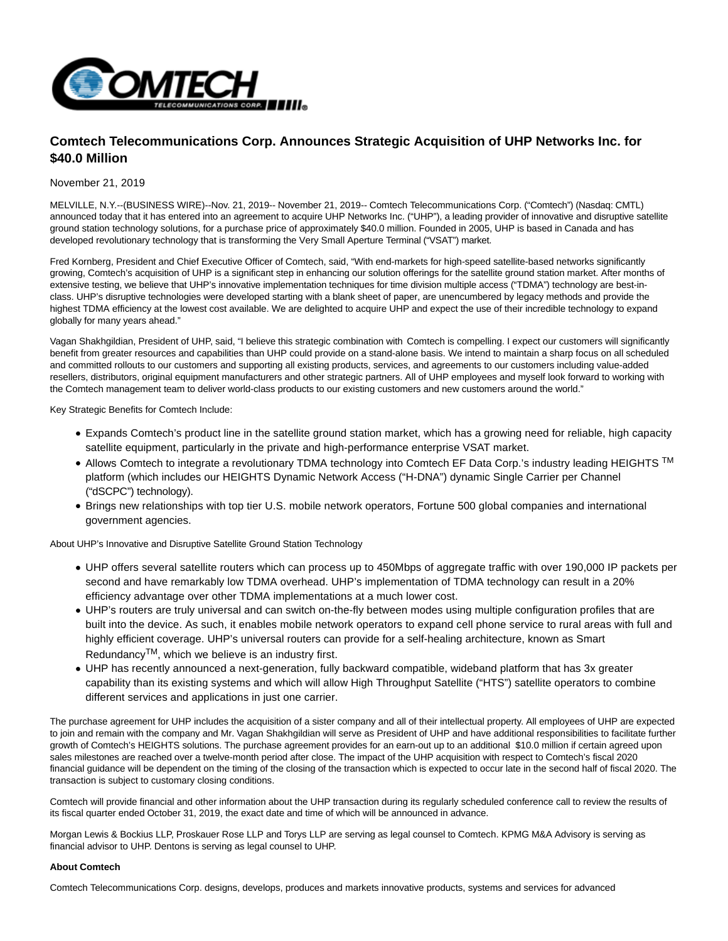

# **Comtech Telecommunications Corp. Announces Strategic Acquisition of UHP Networks Inc. for \$40.0 Million**

# November 21, 2019

MELVILLE, N.Y.--(BUSINESS WIRE)--Nov. 21, 2019-- November 21, 2019-- Comtech Telecommunications Corp. ("Comtech") (Nasdaq: CMTL) announced today that it has entered into an agreement to acquire UHP Networks Inc. ("UHP"), a leading provider of innovative and disruptive satellite ground station technology solutions, for a purchase price of approximately \$40.0 million. Founded in 2005, UHP is based in Canada and has developed revolutionary technology that is transforming the Very Small Aperture Terminal ("VSAT") market.

Fred Kornberg, President and Chief Executive Officer of Comtech, said, "With end-markets for high-speed satellite-based networks significantly growing, Comtech's acquisition of UHP is a significant step in enhancing our solution offerings for the satellite ground station market. After months of extensive testing, we believe that UHP's innovative implementation techniques for time division multiple access ("TDMA") technology are best-inclass. UHP's disruptive technologies were developed starting with a blank sheet of paper, are unencumbered by legacy methods and provide the highest TDMA efficiency at the lowest cost available. We are delighted to acquire UHP and expect the use of their incredible technology to expand globally for many years ahead."

Vagan Shakhgildian, President of UHP, said, "I believe this strategic combination with Comtech is compelling. I expect our customers will significantly benefit from greater resources and capabilities than UHP could provide on a stand-alone basis. We intend to maintain a sharp focus on all scheduled and committed rollouts to our customers and supporting all existing products, services, and agreements to our customers including value-added resellers, distributors, original equipment manufacturers and other strategic partners. All of UHP employees and myself look forward to working with the Comtech management team to deliver world-class products to our existing customers and new customers around the world."

Key Strategic Benefits for Comtech Include:

- Expands Comtech's product line in the satellite ground station market, which has a growing need for reliable, high capacity satellite equipment, particularly in the private and high-performance enterprise VSAT market.
- Allows Comtech to integrate a revolutionary TDMA technology into Comtech EF Data Corp.'s industry leading HEIGHTS TM platform (which includes our HEIGHTS Dynamic Network Access ("H-DNA") dynamic Single Carrier per Channel ("dSCPC") technology).
- Brings new relationships with top tier U.S. mobile network operators, Fortune 500 global companies and international government agencies.

About UHP's Innovative and Disruptive Satellite Ground Station Technology

- UHP offers several satellite routers which can process up to 450Mbps of aggregate traffic with over 190,000 IP packets per second and have remarkably low TDMA overhead. UHP's implementation of TDMA technology can result in a 20% efficiency advantage over other TDMA implementations at a much lower cost.
- UHP's routers are truly universal and can switch on-the-fly between modes using multiple configuration profiles that are built into the device. As such, it enables mobile network operators to expand cell phone service to rural areas with full and highly efficient coverage. UHP's universal routers can provide for a self-healing architecture, known as Smart RedundancyTM, which we believe is an industry first.
- UHP has recently announced a next-generation, fully backward compatible, wideband platform that has 3x greater capability than its existing systems and which will allow High Throughput Satellite ("HTS") satellite operators to combine different services and applications in just one carrier.

The purchase agreement for UHP includes the acquisition of a sister company and all of their intellectual property. All employees of UHP are expected to join and remain with the company and Mr. Vagan Shakhgildian will serve as President of UHP and have additional responsibilities to facilitate further growth of Comtech's HEIGHTS solutions. The purchase agreement provides for an earn-out up to an additional \$10.0 million if certain agreed upon sales milestones are reached over a twelve-month period after close. The impact of the UHP acquisition with respect to Comtech's fiscal 2020 financial guidance will be dependent on the timing of the closing of the transaction which is expected to occur late in the second half of fiscal 2020. The transaction is subject to customary closing conditions.

Comtech will provide financial and other information about the UHP transaction during its regularly scheduled conference call to review the results of its fiscal quarter ended October 31, 2019, the exact date and time of which will be announced in advance.

Morgan Lewis & Bockius LLP, Proskauer Rose LLP and Torys LLP are serving as legal counsel to Comtech. KPMG M&A Advisory is serving as financial advisor to UHP. Dentons is serving as legal counsel to UHP.

### **About Comtech**

Comtech Telecommunications Corp. designs, develops, produces and markets innovative products, systems and services for advanced